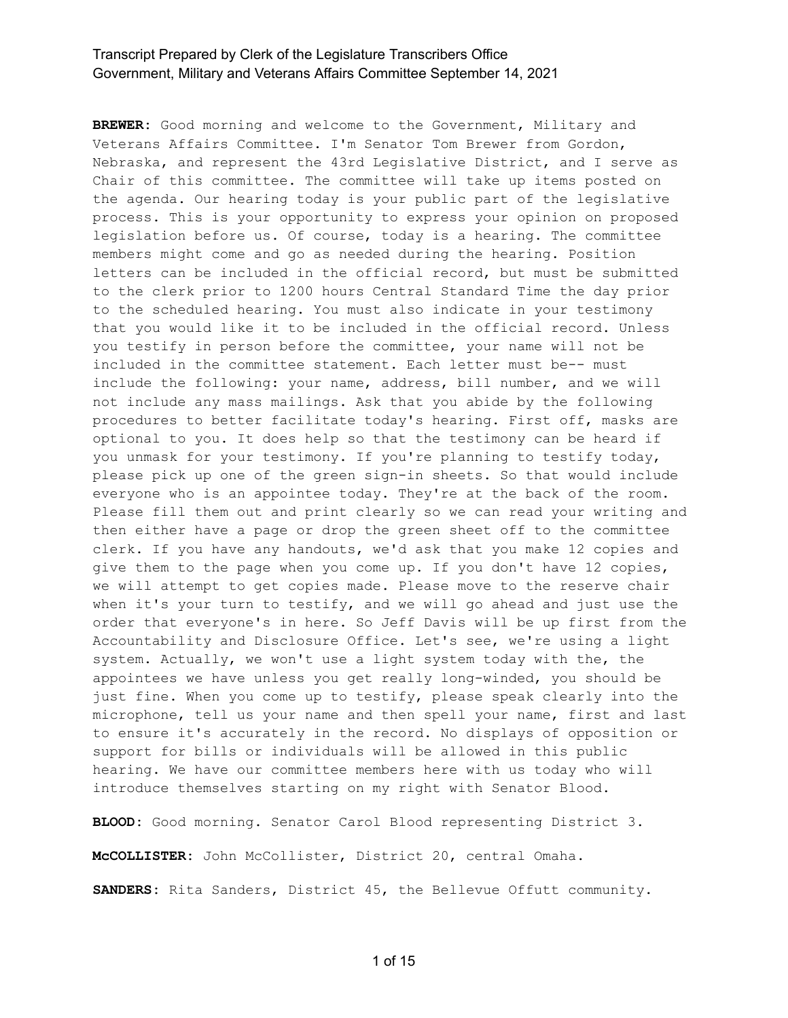**BREWER:** Good morning and welcome to the Government, Military and Veterans Affairs Committee. I'm Senator Tom Brewer from Gordon, Nebraska, and represent the 43rd Legislative District, and I serve as Chair of this committee. The committee will take up items posted on the agenda. Our hearing today is your public part of the legislative process. This is your opportunity to express your opinion on proposed legislation before us. Of course, today is a hearing. The committee members might come and go as needed during the hearing. Position letters can be included in the official record, but must be submitted to the clerk prior to 1200 hours Central Standard Time the day prior to the scheduled hearing. You must also indicate in your testimony that you would like it to be included in the official record. Unless you testify in person before the committee, your name will not be included in the committee statement. Each letter must be-- must include the following: your name, address, bill number, and we will not include any mass mailings. Ask that you abide by the following procedures to better facilitate today's hearing. First off, masks are optional to you. It does help so that the testimony can be heard if you unmask for your testimony. If you're planning to testify today, please pick up one of the green sign-in sheets. So that would include everyone who is an appointee today. They're at the back of the room. Please fill them out and print clearly so we can read your writing and then either have a page or drop the green sheet off to the committee clerk. If you have any handouts, we'd ask that you make 12 copies and give them to the page when you come up. If you don't have 12 copies, we will attempt to get copies made. Please move to the reserve chair when it's your turn to testify, and we will go ahead and just use the order that everyone's in here. So Jeff Davis will be up first from the Accountability and Disclosure Office. Let's see, we're using a light system. Actually, we won't use a light system today with the, the appointees we have unless you get really long-winded, you should be just fine. When you come up to testify, please speak clearly into the microphone, tell us your name and then spell your name, first and last to ensure it's accurately in the record. No displays of opposition or support for bills or individuals will be allowed in this public hearing. We have our committee members here with us today who will introduce themselves starting on my right with Senator Blood.

**BLOOD:** Good morning. Senator Carol Blood representing District 3.

**McCOLLISTER:** John McCollister, District 20, central Omaha.

**SANDERS:** Rita Sanders, District 45, the Bellevue Offutt community.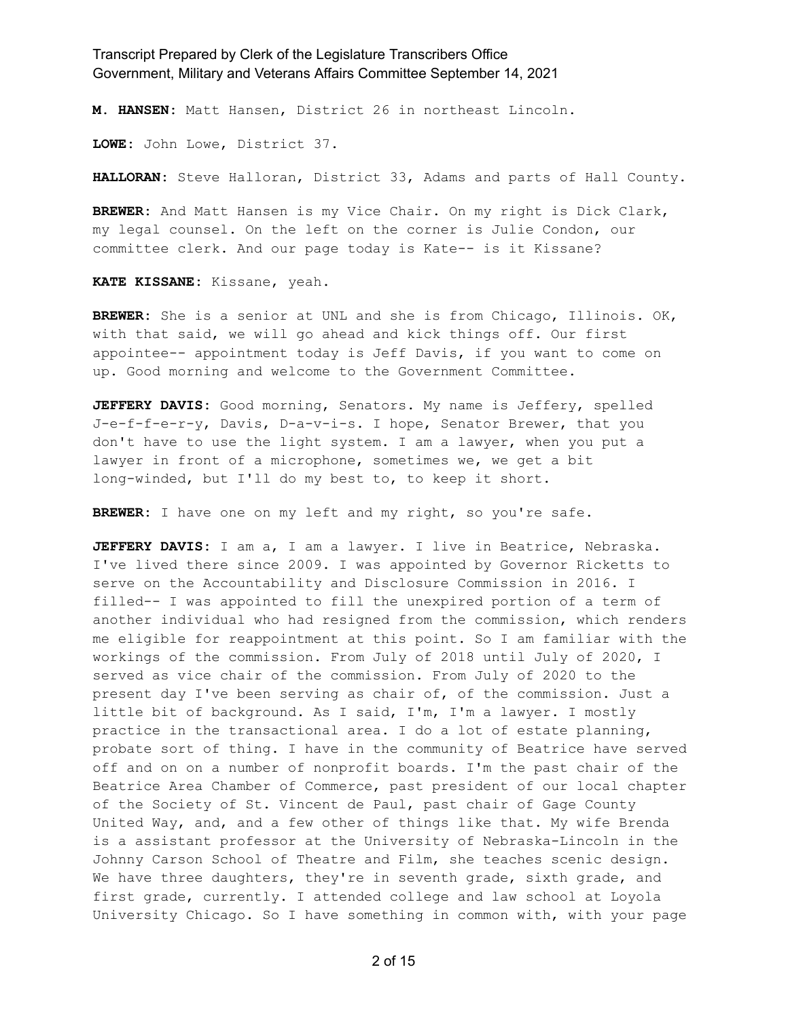**M. HANSEN:** Matt Hansen, District 26 in northeast Lincoln.

**LOWE:** John Lowe, District 37.

**HALLORAN:** Steve Halloran, District 33, Adams and parts of Hall County.

**BREWER:** And Matt Hansen is my Vice Chair. On my right is Dick Clark, my legal counsel. On the left on the corner is Julie Condon, our committee clerk. And our page today is Kate-- is it Kissane?

**KATE KISSANE:** Kissane, yeah.

**BREWER:** She is a senior at UNL and she is from Chicago, Illinois. OK, with that said, we will go ahead and kick things off. Our first appointee-- appointment today is Jeff Davis, if you want to come on up. Good morning and welcome to the Government Committee.

**JEFFERY DAVIS:** Good morning, Senators. My name is Jeffery, spelled J-e-f-f-e-r-y, Davis, D-a-v-i-s. I hope, Senator Brewer, that you don't have to use the light system. I am a lawyer, when you put a lawyer in front of a microphone, sometimes we, we get a bit long-winded, but I'll do my best to, to keep it short.

**BREWER:** I have one on my left and my right, so you're safe.

**JEFFERY DAVIS:** I am a, I am a lawyer. I live in Beatrice, Nebraska. I've lived there since 2009. I was appointed by Governor Ricketts to serve on the Accountability and Disclosure Commission in 2016. I filled-- I was appointed to fill the unexpired portion of a term of another individual who had resigned from the commission, which renders me eligible for reappointment at this point. So I am familiar with the workings of the commission. From July of 2018 until July of 2020, I served as vice chair of the commission. From July of 2020 to the present day I've been serving as chair of, of the commission. Just a little bit of background. As I said, I'm, I'm a lawyer. I mostly practice in the transactional area. I do a lot of estate planning, probate sort of thing. I have in the community of Beatrice have served off and on on a number of nonprofit boards. I'm the past chair of the Beatrice Area Chamber of Commerce, past president of our local chapter of the Society of St. Vincent de Paul, past chair of Gage County United Way, and, and a few other of things like that. My wife Brenda is a assistant professor at the University of Nebraska-Lincoln in the Johnny Carson School of Theatre and Film, she teaches scenic design. We have three daughters, they're in seventh grade, sixth grade, and first grade, currently. I attended college and law school at Loyola University Chicago. So I have something in common with, with your page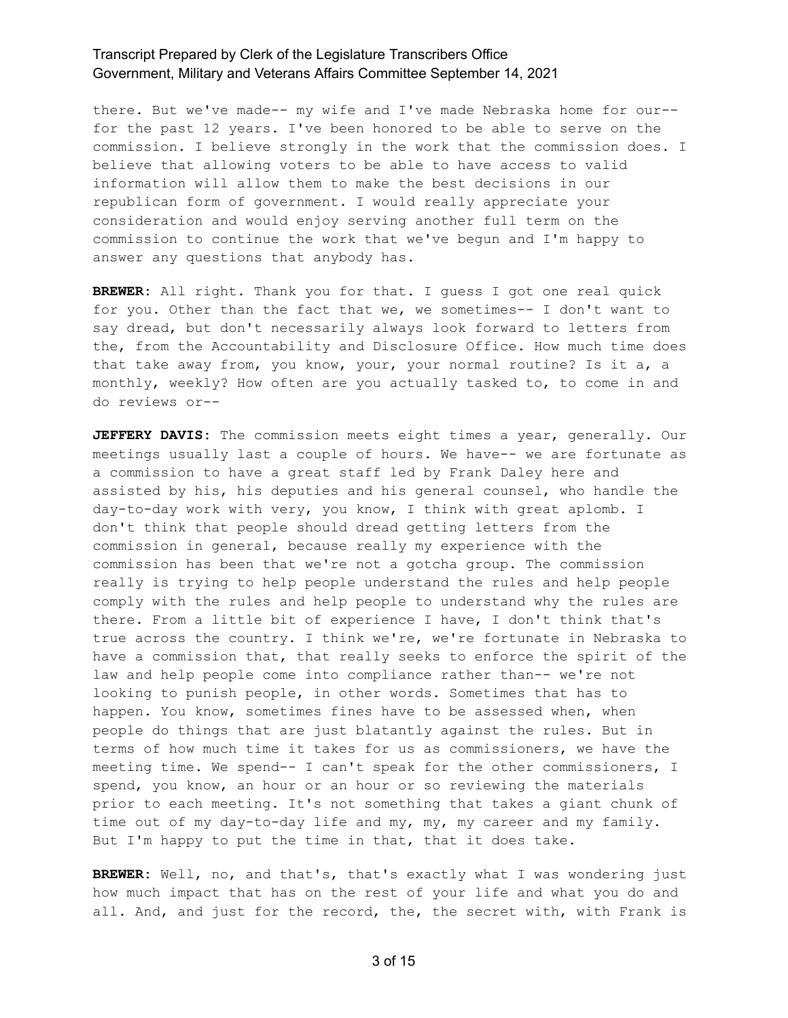there. But we've made-- my wife and I've made Nebraska home for our- for the past 12 years. I've been honored to be able to serve on the commission. I believe strongly in the work that the commission does. I believe that allowing voters to be able to have access to valid information will allow them to make the best decisions in our republican form of government. I would really appreciate your consideration and would enjoy serving another full term on the commission to continue the work that we've begun and I'm happy to answer any questions that anybody has.

**BREWER:** All right. Thank you for that. I guess I got one real quick for you. Other than the fact that we, we sometimes-- I don't want to say dread, but don't necessarily always look forward to letters from the, from the Accountability and Disclosure Office. How much time does that take away from, you know, your, your normal routine? Is it a, a monthly, weekly? How often are you actually tasked to, to come in and do reviews or--

**JEFFERY DAVIS:** The commission meets eight times a year, generally. Our meetings usually last a couple of hours. We have-- we are fortunate as a commission to have a great staff led by Frank Daley here and assisted by his, his deputies and his general counsel, who handle the day-to-day work with very, you know, I think with great aplomb. I don't think that people should dread getting letters from the commission in general, because really my experience with the commission has been that we're not a gotcha group. The commission really is trying to help people understand the rules and help people comply with the rules and help people to understand why the rules are there. From a little bit of experience I have, I don't think that's true across the country. I think we're, we're fortunate in Nebraska to have a commission that, that really seeks to enforce the spirit of the law and help people come into compliance rather than-- we're not looking to punish people, in other words. Sometimes that has to happen. You know, sometimes fines have to be assessed when, when people do things that are just blatantly against the rules. But in terms of how much time it takes for us as commissioners, we have the meeting time. We spend-- I can't speak for the other commissioners, I spend, you know, an hour or an hour or so reviewing the materials prior to each meeting. It's not something that takes a giant chunk of time out of my day-to-day life and my, my, my career and my family. But I'm happy to put the time in that, that it does take.

**BREWER:** Well, no, and that's, that's exactly what I was wondering just how much impact that has on the rest of your life and what you do and all. And, and just for the record, the, the secret with, with Frank is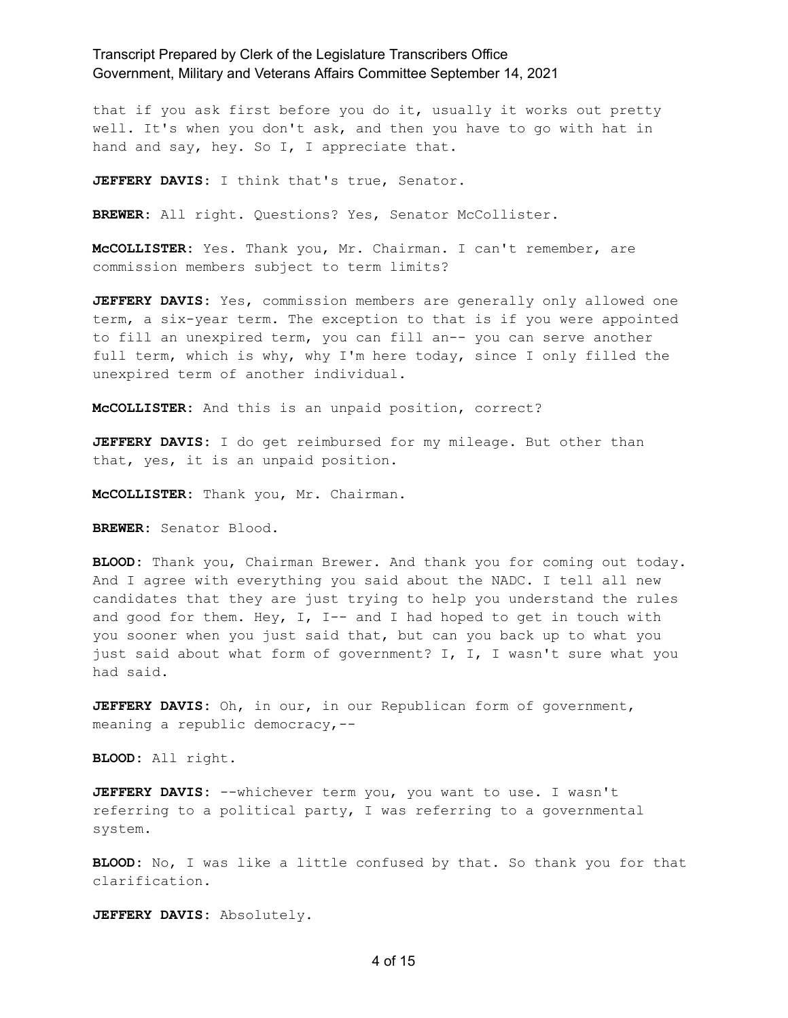that if you ask first before you do it, usually it works out pretty well. It's when you don't ask, and then you have to go with hat in hand and say, hey. So I, I appreciate that.

**JEFFERY DAVIS:** I think that's true, Senator.

**BREWER:** All right. Questions? Yes, Senator McCollister.

**McCOLLISTER:** Yes. Thank you, Mr. Chairman. I can't remember, are commission members subject to term limits?

**JEFFERY DAVIS:** Yes, commission members are generally only allowed one term, a six-year term. The exception to that is if you were appointed to fill an unexpired term, you can fill an-- you can serve another full term, which is why, why I'm here today, since I only filled the unexpired term of another individual.

**McCOLLISTER:** And this is an unpaid position, correct?

**JEFFERY DAVIS:** I do get reimbursed for my mileage. But other than that, yes, it is an unpaid position.

**McCOLLISTER:** Thank you, Mr. Chairman.

**BREWER:** Senator Blood.

**BLOOD:** Thank you, Chairman Brewer. And thank you for coming out today. And I agree with everything you said about the NADC. I tell all new candidates that they are just trying to help you understand the rules and good for them. Hey, I, I-- and I had hoped to get in touch with you sooner when you just said that, but can you back up to what you just said about what form of government? I, I, I wasn't sure what you had said.

**JEFFERY DAVIS:** Oh, in our, in our Republican form of government, meaning a republic democracy,--

**BLOOD:** All right.

**JEFFERY DAVIS:** --whichever term you, you want to use. I wasn't referring to a political party, I was referring to a governmental system.

**BLOOD:** No, I was like a little confused by that. So thank you for that clarification.

**JEFFERY DAVIS:** Absolutely.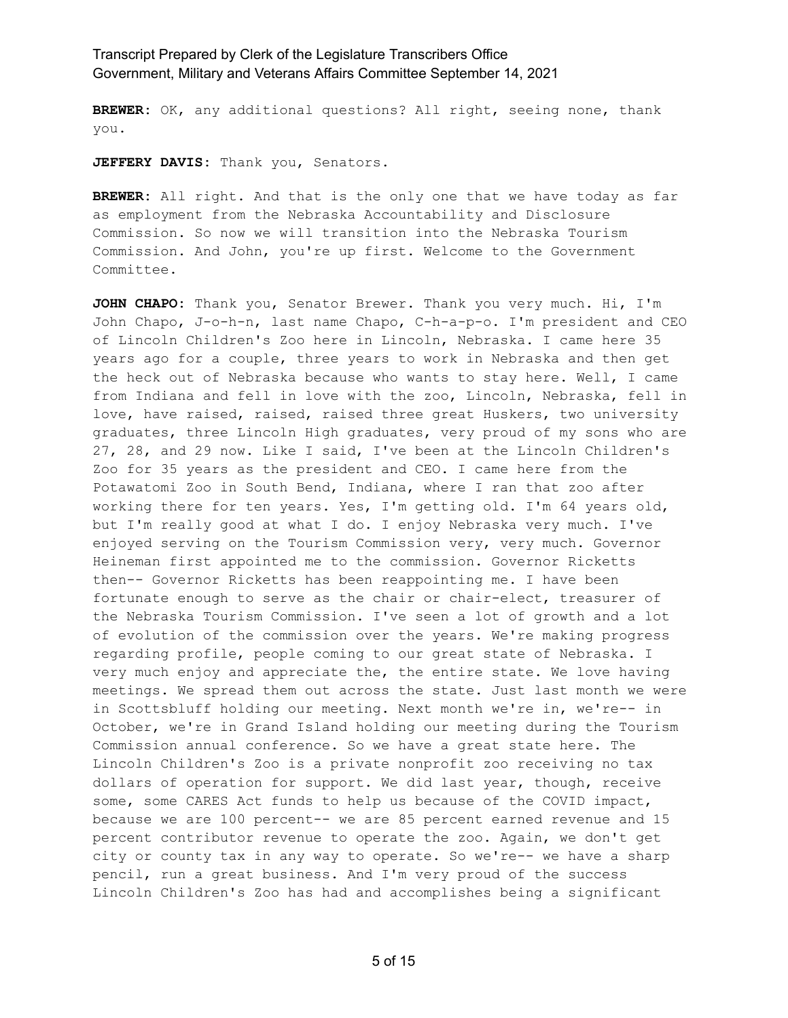**BREWER:** OK, any additional questions? All right, seeing none, thank you.

**JEFFERY DAVIS:** Thank you, Senators.

**BREWER:** All right. And that is the only one that we have today as far as employment from the Nebraska Accountability and Disclosure Commission. So now we will transition into the Nebraska Tourism Commission. And John, you're up first. Welcome to the Government Committee.

**JOHN CHAPO:** Thank you, Senator Brewer. Thank you very much. Hi, I'm John Chapo, J-o-h-n, last name Chapo, C-h-a-p-o. I'm president and CEO of Lincoln Children's Zoo here in Lincoln, Nebraska. I came here 35 years ago for a couple, three years to work in Nebraska and then get the heck out of Nebraska because who wants to stay here. Well, I came from Indiana and fell in love with the zoo, Lincoln, Nebraska, fell in love, have raised, raised, raised three great Huskers, two university graduates, three Lincoln High graduates, very proud of my sons who are 27, 28, and 29 now. Like I said, I've been at the Lincoln Children's Zoo for 35 years as the president and CEO. I came here from the Potawatomi Zoo in South Bend, Indiana, where I ran that zoo after working there for ten years. Yes, I'm getting old. I'm 64 years old, but I'm really good at what I do. I enjoy Nebraska very much. I've enjoyed serving on the Tourism Commission very, very much. Governor Heineman first appointed me to the commission. Governor Ricketts then-- Governor Ricketts has been reappointing me. I have been fortunate enough to serve as the chair or chair-elect, treasurer of the Nebraska Tourism Commission. I've seen a lot of growth and a lot of evolution of the commission over the years. We're making progress regarding profile, people coming to our great state of Nebraska. I very much enjoy and appreciate the, the entire state. We love having meetings. We spread them out across the state. Just last month we were in Scottsbluff holding our meeting. Next month we're in, we're-- in October, we're in Grand Island holding our meeting during the Tourism Commission annual conference. So we have a great state here. The Lincoln Children's Zoo is a private nonprofit zoo receiving no tax dollars of operation for support. We did last year, though, receive some, some CARES Act funds to help us because of the COVID impact, because we are 100 percent-- we are 85 percent earned revenue and 15 percent contributor revenue to operate the zoo. Again, we don't get city or county tax in any way to operate. So we're-- we have a sharp pencil, run a great business. And I'm very proud of the success Lincoln Children's Zoo has had and accomplishes being a significant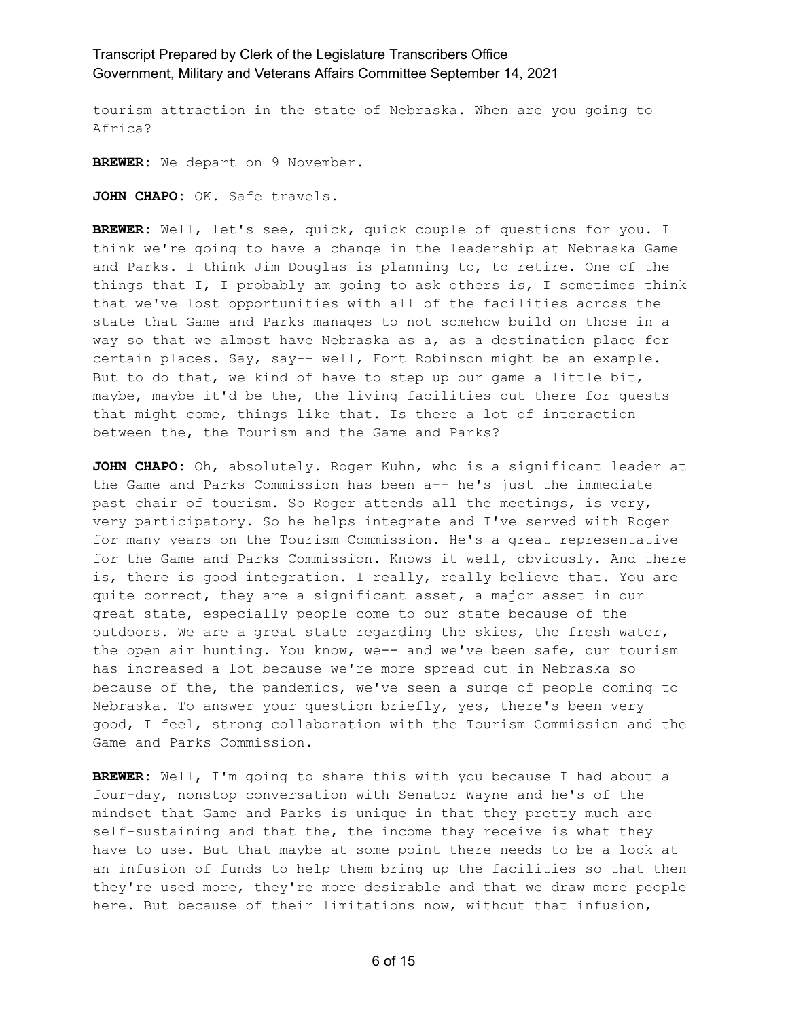tourism attraction in the state of Nebraska. When are you going to Africa?

**BREWER:** We depart on 9 November.

**JOHN CHAPO:** OK. Safe travels.

**BREWER:** Well, let's see, quick, quick couple of questions for you. I think we're going to have a change in the leadership at Nebraska Game and Parks. I think Jim Douglas is planning to, to retire. One of the things that I, I probably am going to ask others is, I sometimes think that we've lost opportunities with all of the facilities across the state that Game and Parks manages to not somehow build on those in a way so that we almost have Nebraska as a, as a destination place for certain places. Say, say-- well, Fort Robinson might be an example. But to do that, we kind of have to step up our game a little bit, maybe, maybe it'd be the, the living facilities out there for guests that might come, things like that. Is there a lot of interaction between the, the Tourism and the Game and Parks?

**JOHN CHAPO:** Oh, absolutely. Roger Kuhn, who is a significant leader at the Game and Parks Commission has been a-- he's just the immediate past chair of tourism. So Roger attends all the meetings, is very, very participatory. So he helps integrate and I've served with Roger for many years on the Tourism Commission. He's a great representative for the Game and Parks Commission. Knows it well, obviously. And there is, there is good integration. I really, really believe that. You are quite correct, they are a significant asset, a major asset in our great state, especially people come to our state because of the outdoors. We are a great state regarding the skies, the fresh water, the open air hunting. You know, we-- and we've been safe, our tourism has increased a lot because we're more spread out in Nebraska so because of the, the pandemics, we've seen a surge of people coming to Nebraska. To answer your question briefly, yes, there's been very good, I feel, strong collaboration with the Tourism Commission and the Game and Parks Commission.

**BREWER:** Well, I'm going to share this with you because I had about a four-day, nonstop conversation with Senator Wayne and he's of the mindset that Game and Parks is unique in that they pretty much are self-sustaining and that the, the income they receive is what they have to use. But that maybe at some point there needs to be a look at an infusion of funds to help them bring up the facilities so that then they're used more, they're more desirable and that we draw more people here. But because of their limitations now, without that infusion,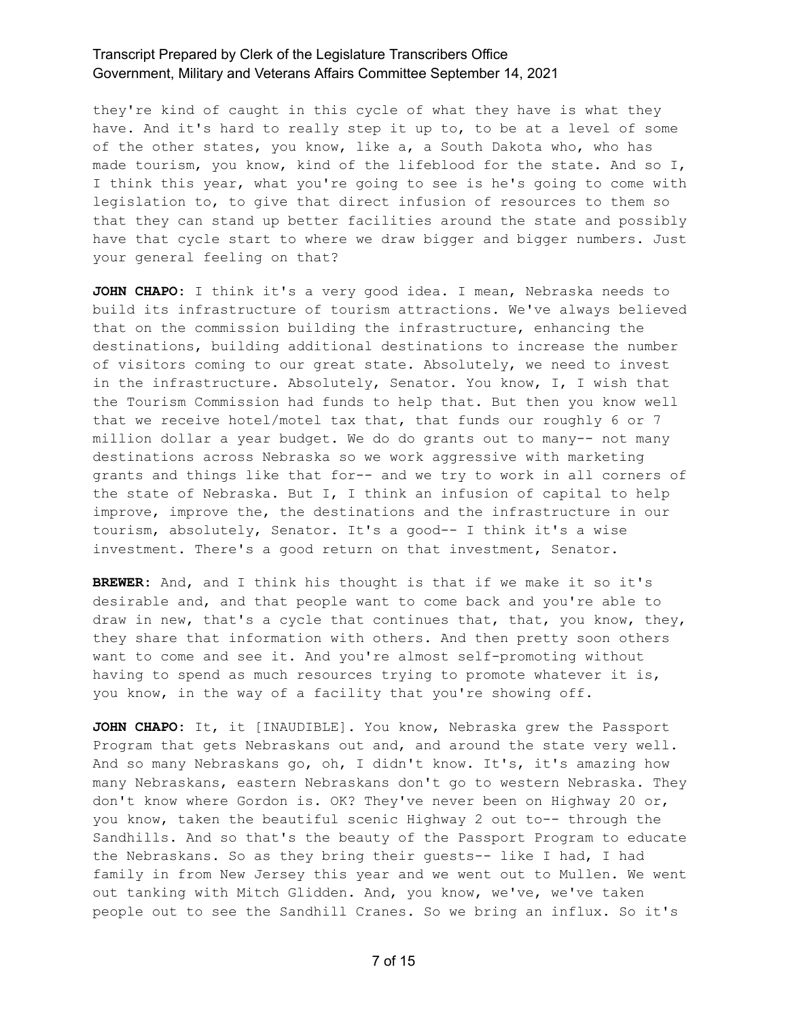they're kind of caught in this cycle of what they have is what they have. And it's hard to really step it up to, to be at a level of some of the other states, you know, like a, a South Dakota who, who has made tourism, you know, kind of the lifeblood for the state. And so I, I think this year, what you're going to see is he's going to come with legislation to, to give that direct infusion of resources to them so that they can stand up better facilities around the state and possibly have that cycle start to where we draw bigger and bigger numbers. Just your general feeling on that?

**JOHN CHAPO:** I think it's a very good idea. I mean, Nebraska needs to build its infrastructure of tourism attractions. We've always believed that on the commission building the infrastructure, enhancing the destinations, building additional destinations to increase the number of visitors coming to our great state. Absolutely, we need to invest in the infrastructure. Absolutely, Senator. You know, I, I wish that the Tourism Commission had funds to help that. But then you know well that we receive hotel/motel tax that, that funds our roughly 6 or 7 million dollar a year budget. We do do grants out to many-- not many destinations across Nebraska so we work aggressive with marketing grants and things like that for-- and we try to work in all corners of the state of Nebraska. But I, I think an infusion of capital to help improve, improve the, the destinations and the infrastructure in our tourism, absolutely, Senator. It's a good-- I think it's a wise investment. There's a good return on that investment, Senator.

**BREWER:** And, and I think his thought is that if we make it so it's desirable and, and that people want to come back and you're able to draw in new, that's a cycle that continues that, that, you know, they, they share that information with others. And then pretty soon others want to come and see it. And you're almost self-promoting without having to spend as much resources trying to promote whatever it is, you know, in the way of a facility that you're showing off.

**JOHN CHAPO:** It, it [INAUDIBLE]. You know, Nebraska grew the Passport Program that gets Nebraskans out and, and around the state very well. And so many Nebraskans go, oh, I didn't know. It's, it's amazing how many Nebraskans, eastern Nebraskans don't go to western Nebraska. They don't know where Gordon is. OK? They've never been on Highway 20 or, you know, taken the beautiful scenic Highway 2 out to-- through the Sandhills. And so that's the beauty of the Passport Program to educate the Nebraskans. So as they bring their guests-- like I had, I had family in from New Jersey this year and we went out to Mullen. We went out tanking with Mitch Glidden. And, you know, we've, we've taken people out to see the Sandhill Cranes. So we bring an influx. So it's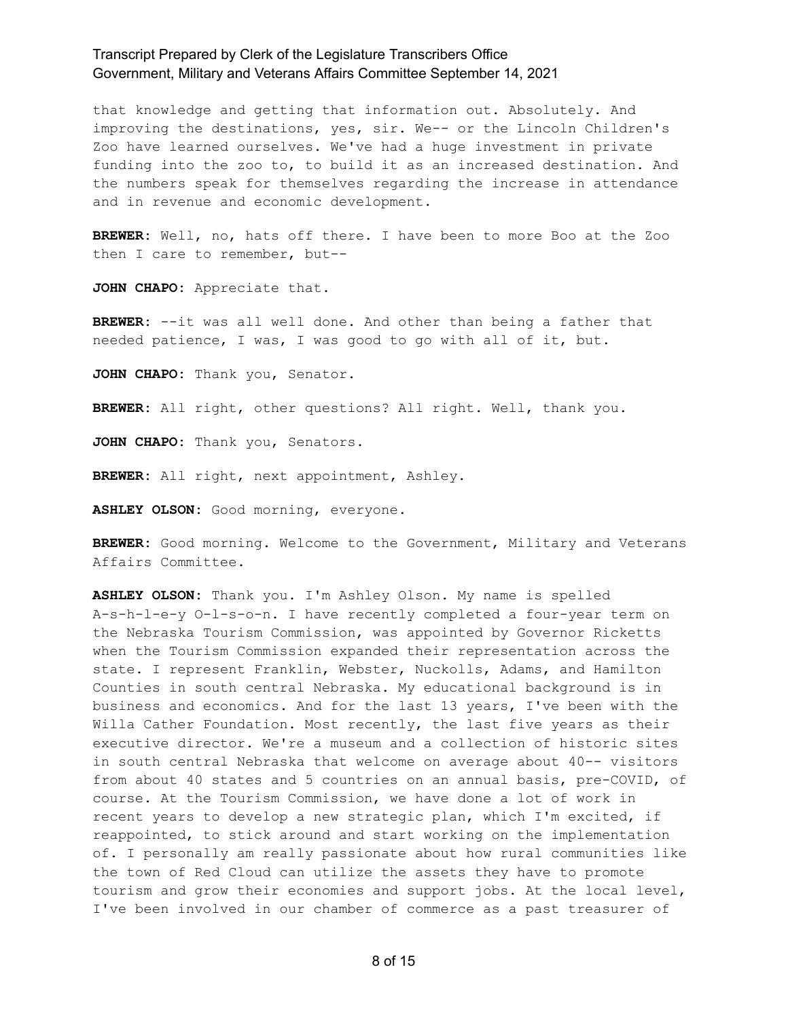that knowledge and getting that information out. Absolutely. And improving the destinations, yes, sir. We-- or the Lincoln Children's Zoo have learned ourselves. We've had a huge investment in private funding into the zoo to, to build it as an increased destination. And the numbers speak for themselves regarding the increase in attendance and in revenue and economic development.

**BREWER:** Well, no, hats off there. I have been to more Boo at the Zoo then I care to remember, but--

**JOHN CHAPO:** Appreciate that.

**BREWER:** --it was all well done. And other than being a father that needed patience, I was, I was good to go with all of it, but.

**JOHN CHAPO:** Thank you, Senator.

**BREWER:** All right, other questions? All right. Well, thank you.

**JOHN CHAPO:** Thank you, Senators.

**BREWER:** All right, next appointment, Ashley.

**ASHLEY OLSON:** Good morning, everyone.

**BREWER:** Good morning. Welcome to the Government, Military and Veterans Affairs Committee.

**ASHLEY OLSON:** Thank you. I'm Ashley Olson. My name is spelled A-s-h-l-e-y O-l-s-o-n. I have recently completed a four-year term on the Nebraska Tourism Commission, was appointed by Governor Ricketts when the Tourism Commission expanded their representation across the state. I represent Franklin, Webster, Nuckolls, Adams, and Hamilton Counties in south central Nebraska. My educational background is in business and economics. And for the last 13 years, I've been with the Willa Cather Foundation. Most recently, the last five years as their executive director. We're a museum and a collection of historic sites in south central Nebraska that welcome on average about 40-- visitors from about 40 states and 5 countries on an annual basis, pre-COVID, of course. At the Tourism Commission, we have done a lot of work in recent years to develop a new strategic plan, which I'm excited, if reappointed, to stick around and start working on the implementation of. I personally am really passionate about how rural communities like the town of Red Cloud can utilize the assets they have to promote tourism and grow their economies and support jobs. At the local level, I've been involved in our chamber of commerce as a past treasurer of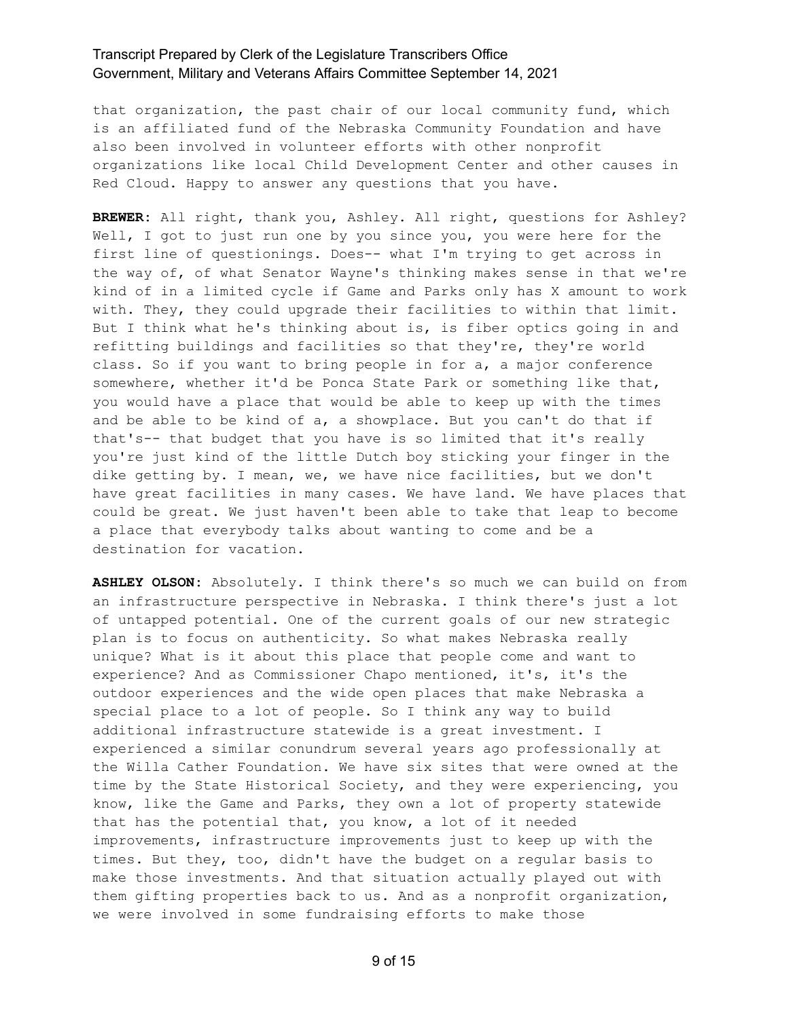that organization, the past chair of our local community fund, which is an affiliated fund of the Nebraska Community Foundation and have also been involved in volunteer efforts with other nonprofit organizations like local Child Development Center and other causes in Red Cloud. Happy to answer any questions that you have.

**BREWER:** All right, thank you, Ashley. All right, questions for Ashley? Well, I got to just run one by you since you, you were here for the first line of questionings. Does-- what I'm trying to get across in the way of, of what Senator Wayne's thinking makes sense in that we're kind of in a limited cycle if Game and Parks only has X amount to work with. They, they could upgrade their facilities to within that limit. But I think what he's thinking about is, is fiber optics going in and refitting buildings and facilities so that they're, they're world class. So if you want to bring people in for a, a major conference somewhere, whether it'd be Ponca State Park or something like that, you would have a place that would be able to keep up with the times and be able to be kind of a, a showplace. But you can't do that if that's-- that budget that you have is so limited that it's really you're just kind of the little Dutch boy sticking your finger in the dike getting by. I mean, we, we have nice facilities, but we don't have great facilities in many cases. We have land. We have places that could be great. We just haven't been able to take that leap to become a place that everybody talks about wanting to come and be a destination for vacation.

**ASHLEY OLSON:** Absolutely. I think there's so much we can build on from an infrastructure perspective in Nebraska. I think there's just a lot of untapped potential. One of the current goals of our new strategic plan is to focus on authenticity. So what makes Nebraska really unique? What is it about this place that people come and want to experience? And as Commissioner Chapo mentioned, it's, it's the outdoor experiences and the wide open places that make Nebraska a special place to a lot of people. So I think any way to build additional infrastructure statewide is a great investment. I experienced a similar conundrum several years ago professionally at the Willa Cather Foundation. We have six sites that were owned at the time by the State Historical Society, and they were experiencing, you know, like the Game and Parks, they own a lot of property statewide that has the potential that, you know, a lot of it needed improvements, infrastructure improvements just to keep up with the times. But they, too, didn't have the budget on a regular basis to make those investments. And that situation actually played out with them gifting properties back to us. And as a nonprofit organization, we were involved in some fundraising efforts to make those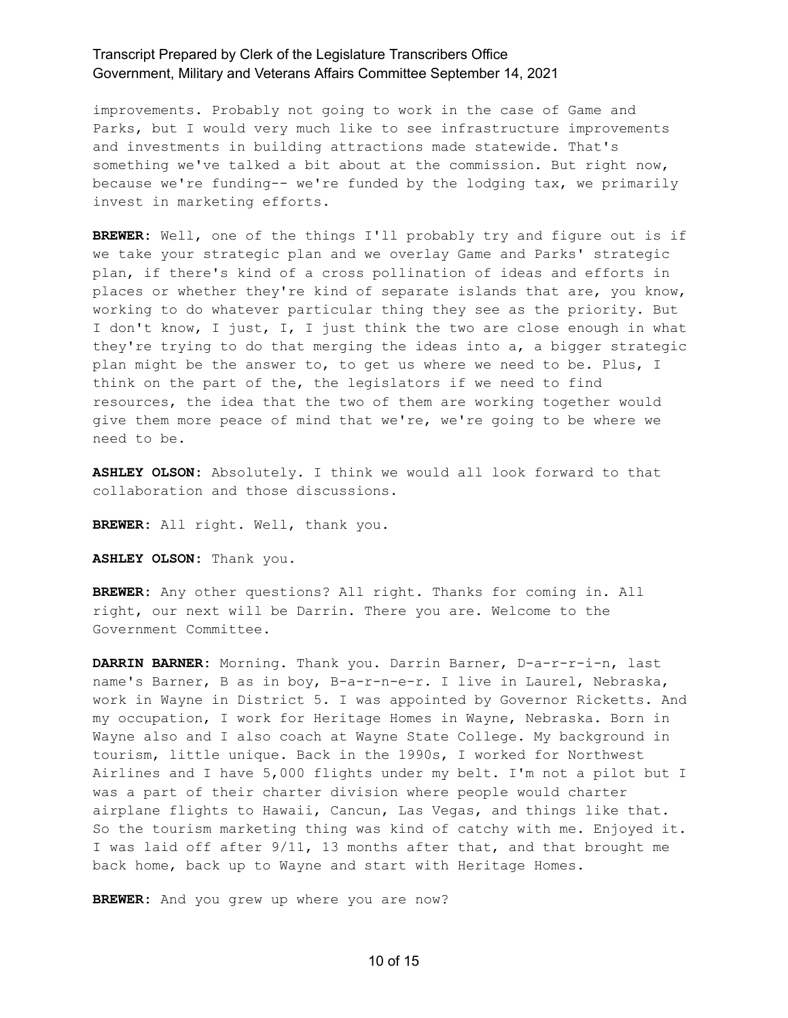improvements. Probably not going to work in the case of Game and Parks, but I would very much like to see infrastructure improvements and investments in building attractions made statewide. That's something we've talked a bit about at the commission. But right now, because we're funding-- we're funded by the lodging tax, we primarily invest in marketing efforts.

**BREWER:** Well, one of the things I'll probably try and figure out is if we take your strategic plan and we overlay Game and Parks' strategic plan, if there's kind of a cross pollination of ideas and efforts in places or whether they're kind of separate islands that are, you know, working to do whatever particular thing they see as the priority. But I don't know, I just, I, I just think the two are close enough in what they're trying to do that merging the ideas into a, a bigger strategic plan might be the answer to, to get us where we need to be. Plus, I think on the part of the, the legislators if we need to find resources, the idea that the two of them are working together would give them more peace of mind that we're, we're going to be where we need to be.

**ASHLEY OLSON:** Absolutely. I think we would all look forward to that collaboration and those discussions.

**BREWER:** All right. Well, thank you.

**ASHLEY OLSON:** Thank you.

**BREWER:** Any other questions? All right. Thanks for coming in. All right, our next will be Darrin. There you are. Welcome to the Government Committee.

**DARRIN BARNER:** Morning. Thank you. Darrin Barner, D-a-r-r-i-n, last name's Barner, B as in boy, B-a-r-n-e-r. I live in Laurel, Nebraska, work in Wayne in District 5. I was appointed by Governor Ricketts. And my occupation, I work for Heritage Homes in Wayne, Nebraska. Born in Wayne also and I also coach at Wayne State College. My background in tourism, little unique. Back in the 1990s, I worked for Northwest Airlines and I have 5,000 flights under my belt. I'm not a pilot but I was a part of their charter division where people would charter airplane flights to Hawaii, Cancun, Las Vegas, and things like that. So the tourism marketing thing was kind of catchy with me. Enjoyed it. I was laid off after 9/11, 13 months after that, and that brought me back home, back up to Wayne and start with Heritage Homes.

**BREWER:** And you grew up where you are now?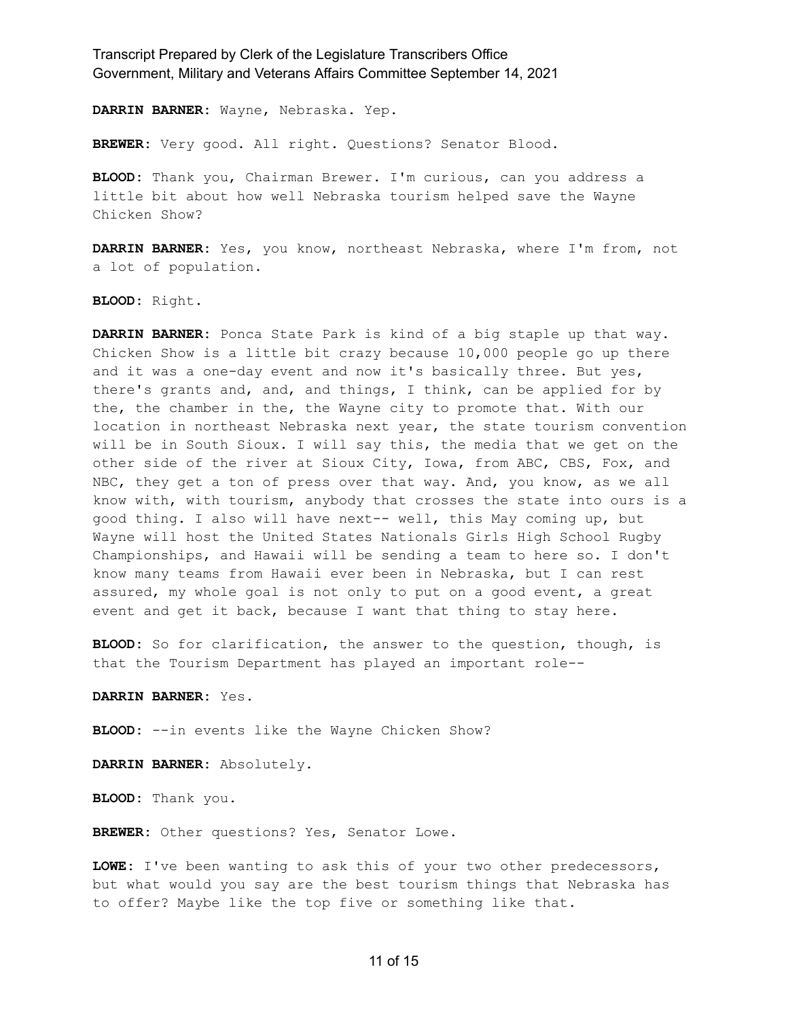**DARRIN BARNER:** Wayne, Nebraska. Yep.

**BREWER:** Very good. All right. Questions? Senator Blood.

**BLOOD:** Thank you, Chairman Brewer. I'm curious, can you address a little bit about how well Nebraska tourism helped save the Wayne Chicken Show?

**DARRIN BARNER:** Yes, you know, northeast Nebraska, where I'm from, not a lot of population.

**BLOOD:** Right.

**DARRIN BARNER:** Ponca State Park is kind of a big staple up that way. Chicken Show is a little bit crazy because 10,000 people go up there and it was a one-day event and now it's basically three. But yes, there's grants and, and, and things, I think, can be applied for by the, the chamber in the, the Wayne city to promote that. With our location in northeast Nebraska next year, the state tourism convention will be in South Sioux. I will say this, the media that we get on the other side of the river at Sioux City, Iowa, from ABC, CBS, Fox, and NBC, they get a ton of press over that way. And, you know, as we all know with, with tourism, anybody that crosses the state into ours is a good thing. I also will have next-- well, this May coming up, but Wayne will host the United States Nationals Girls High School Rugby Championships, and Hawaii will be sending a team to here so. I don't know many teams from Hawaii ever been in Nebraska, but I can rest assured, my whole goal is not only to put on a good event, a great event and get it back, because I want that thing to stay here.

**BLOOD:** So for clarification, the answer to the question, though, is that the Tourism Department has played an important role--

**DARRIN BARNER:** Yes.

**BLOOD:** --in events like the Wayne Chicken Show?

**DARRIN BARNER:** Absolutely.

**BLOOD:** Thank you.

**BREWER:** Other questions? Yes, Senator Lowe.

**LOWE:** I've been wanting to ask this of your two other predecessors, but what would you say are the best tourism things that Nebraska has to offer? Maybe like the top five or something like that.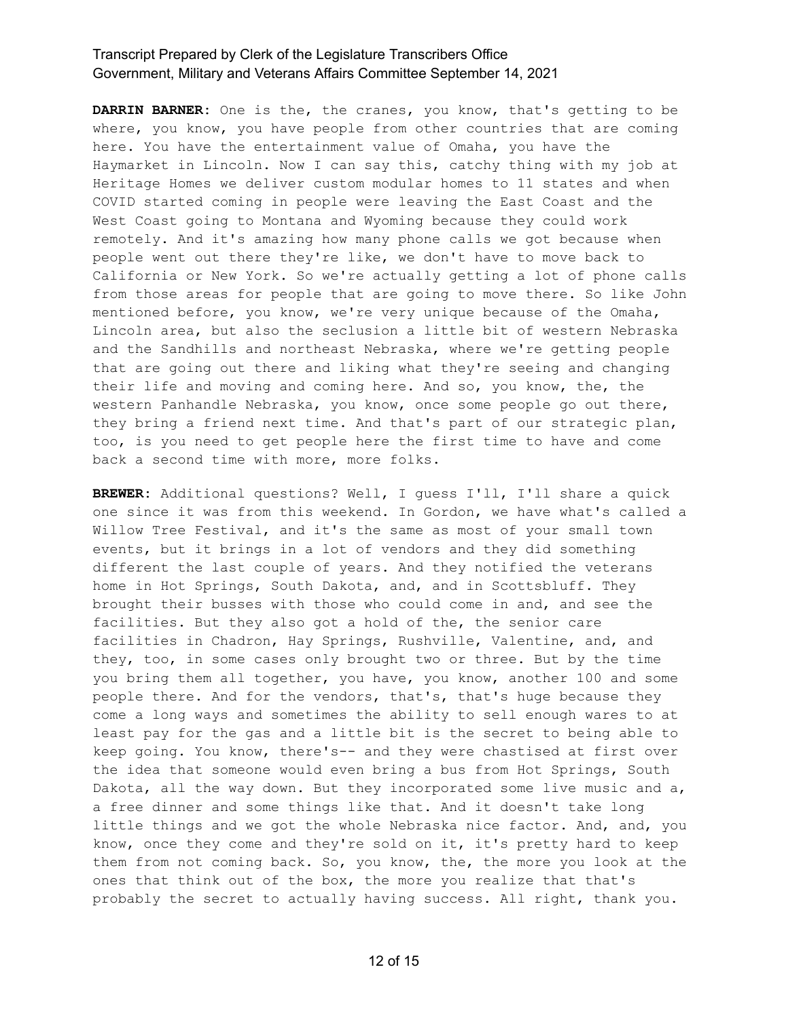**DARRIN BARNER:** One is the, the cranes, you know, that's getting to be where, you know, you have people from other countries that are coming here. You have the entertainment value of Omaha, you have the Haymarket in Lincoln. Now I can say this, catchy thing with my job at Heritage Homes we deliver custom modular homes to 11 states and when COVID started coming in people were leaving the East Coast and the West Coast going to Montana and Wyoming because they could work remotely. And it's amazing how many phone calls we got because when people went out there they're like, we don't have to move back to California or New York. So we're actually getting a lot of phone calls from those areas for people that are going to move there. So like John mentioned before, you know, we're very unique because of the Omaha, Lincoln area, but also the seclusion a little bit of western Nebraska and the Sandhills and northeast Nebraska, where we're getting people that are going out there and liking what they're seeing and changing their life and moving and coming here. And so, you know, the, the western Panhandle Nebraska, you know, once some people go out there, they bring a friend next time. And that's part of our strategic plan, too, is you need to get people here the first time to have and come back a second time with more, more folks.

**BREWER:** Additional questions? Well, I guess I'll, I'll share a quick one since it was from this weekend. In Gordon, we have what's called a Willow Tree Festival, and it's the same as most of your small town events, but it brings in a lot of vendors and they did something different the last couple of years. And they notified the veterans home in Hot Springs, South Dakota, and, and in Scottsbluff. They brought their busses with those who could come in and, and see the facilities. But they also got a hold of the, the senior care facilities in Chadron, Hay Springs, Rushville, Valentine, and, and they, too, in some cases only brought two or three. But by the time you bring them all together, you have, you know, another 100 and some people there. And for the vendors, that's, that's huge because they come a long ways and sometimes the ability to sell enough wares to at least pay for the gas and a little bit is the secret to being able to keep going. You know, there's-- and they were chastised at first over the idea that someone would even bring a bus from Hot Springs, South Dakota, all the way down. But they incorporated some live music and a, a free dinner and some things like that. And it doesn't take long little things and we got the whole Nebraska nice factor. And, and, you know, once they come and they're sold on it, it's pretty hard to keep them from not coming back. So, you know, the, the more you look at the ones that think out of the box, the more you realize that that's probably the secret to actually having success. All right, thank you.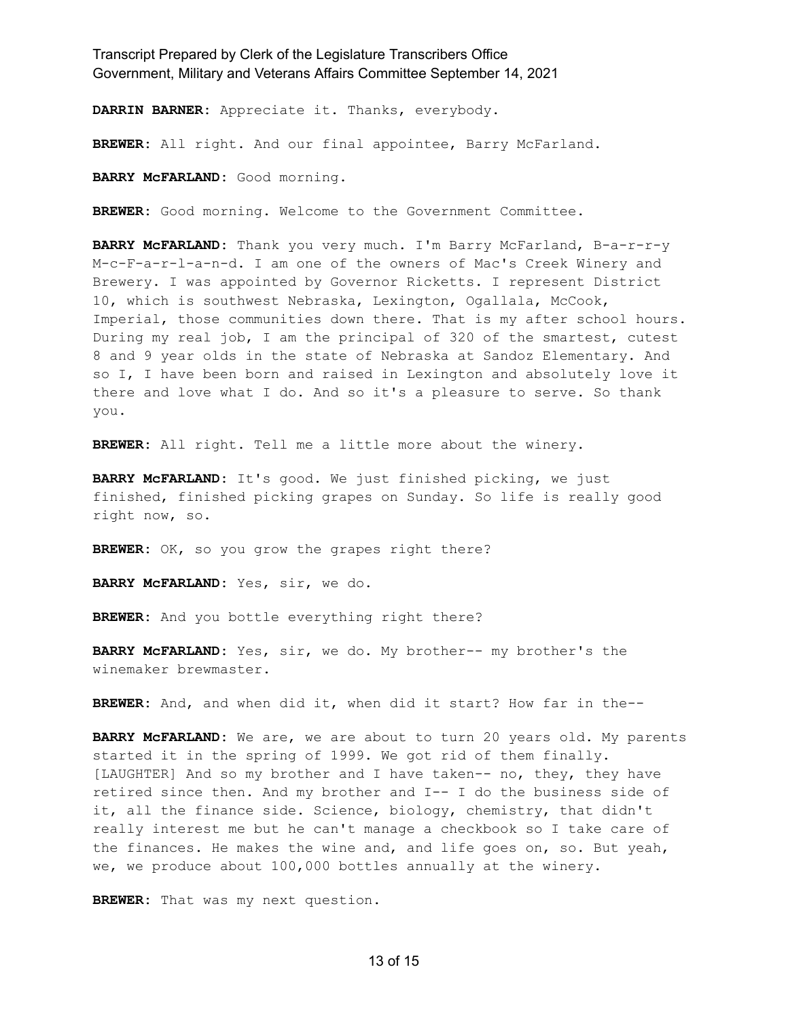**DARRIN BARNER:** Appreciate it. Thanks, everybody.

**BREWER:** All right. And our final appointee, Barry McFarland.

**BARRY McFARLAND:** Good morning.

**BREWER:** Good morning. Welcome to the Government Committee.

**BARRY McFARLAND:** Thank you very much. I'm Barry McFarland, B-a-r-r-y M-c-F-a-r-l-a-n-d. I am one of the owners of Mac's Creek Winery and Brewery. I was appointed by Governor Ricketts. I represent District 10, which is southwest Nebraska, Lexington, Ogallala, McCook, Imperial, those communities down there. That is my after school hours. During my real job, I am the principal of 320 of the smartest, cutest 8 and 9 year olds in the state of Nebraska at Sandoz Elementary. And so I, I have been born and raised in Lexington and absolutely love it there and love what I do. And so it's a pleasure to serve. So thank you.

**BREWER:** All right. Tell me a little more about the winery.

**BARRY McFARLAND:** It's good. We just finished picking, we just finished, finished picking grapes on Sunday. So life is really good right now, so.

BREWER: OK, so you grow the grapes right there?

**BARRY McFARLAND:** Yes, sir, we do.

**BREWER:** And you bottle everything right there?

**BARRY McFARLAND:** Yes, sir, we do. My brother-- my brother's the winemaker brewmaster.

**BREWER:** And, and when did it, when did it start? How far in the--

**BARRY McFARLAND:** We are, we are about to turn 20 years old. My parents started it in the spring of 1999. We got rid of them finally. [LAUGHTER] And so my brother and I have taken-- no, they, they have retired since then. And my brother and I-- I do the business side of it, all the finance side. Science, biology, chemistry, that didn't really interest me but he can't manage a checkbook so I take care of the finances. He makes the wine and, and life goes on, so. But yeah, we, we produce about 100,000 bottles annually at the winery.

**BREWER:** That was my next question.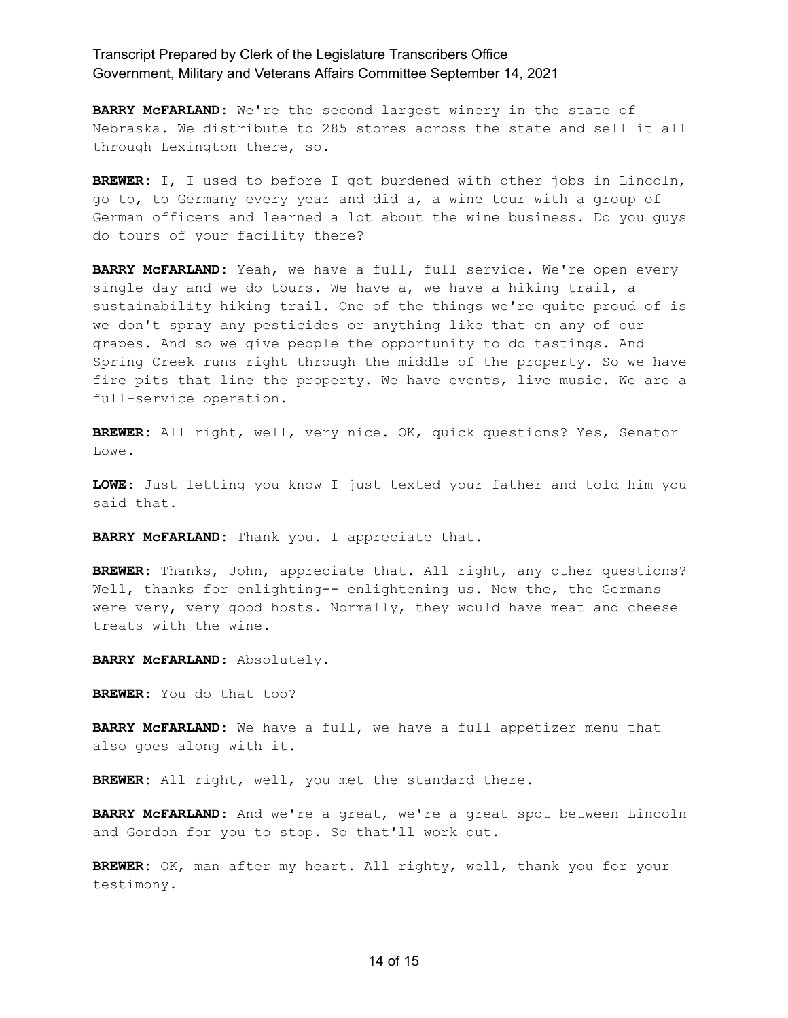**BARRY McFARLAND:** We're the second largest winery in the state of Nebraska. We distribute to 285 stores across the state and sell it all through Lexington there, so.

**BREWER:** I, I used to before I got burdened with other jobs in Lincoln, go to, to Germany every year and did a, a wine tour with a group of German officers and learned a lot about the wine business. Do you guys do tours of your facility there?

**BARRY McFARLAND:** Yeah, we have a full, full service. We're open every single day and we do tours. We have a, we have a hiking trail, a sustainability hiking trail. One of the things we're quite proud of is we don't spray any pesticides or anything like that on any of our grapes. And so we give people the opportunity to do tastings. And Spring Creek runs right through the middle of the property. So we have fire pits that line the property. We have events, live music. We are a full-service operation.

**BREWER:** All right, well, very nice. OK, quick questions? Yes, Senator Lowe.

**LOWE:** Just letting you know I just texted your father and told him you said that.

**BARRY McFARLAND:** Thank you. I appreciate that.

**BREWER:** Thanks, John, appreciate that. All right, any other questions? Well, thanks for enlighting-- enlightening us. Now the, the Germans were very, very good hosts. Normally, they would have meat and cheese treats with the wine.

**BARRY McFARLAND:** Absolutely.

**BREWER:** You do that too?

**BARRY McFARLAND:** We have a full, we have a full appetizer menu that also goes along with it.

**BREWER:** All right, well, you met the standard there.

**BARRY McFARLAND:** And we're a great, we're a great spot between Lincoln and Gordon for you to stop. So that'll work out.

**BREWER:** OK, man after my heart. All righty, well, thank you for your testimony.